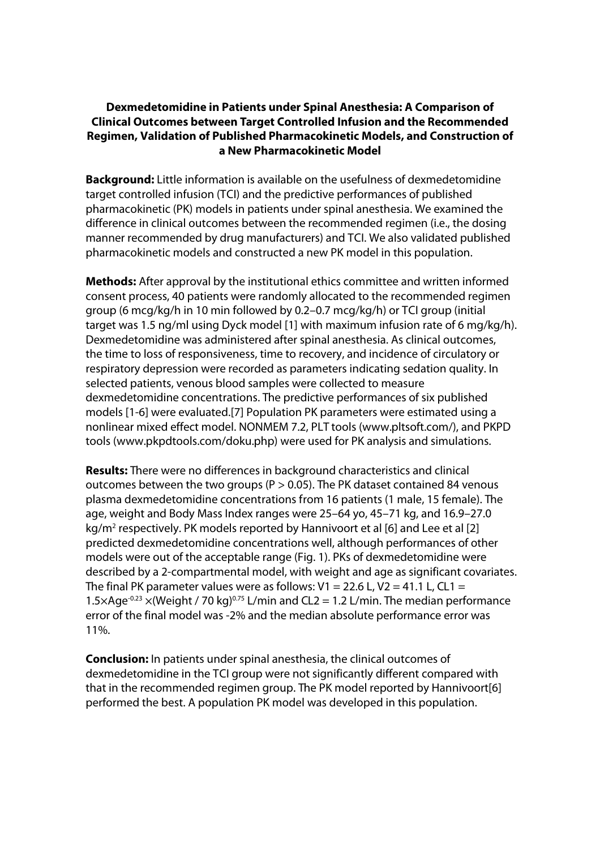## **Dexmedetomidine in Patients under Spinal Anesthesia: A Comparison of Clinical Outcomes between Target Controlled Infusion and the Recommended Regimen, Validation of Published Pharmacokinetic Models, and Construction of a New Pharmacokinetic Model**

**Background:** Little information is available on the usefulness of dexmedetomidine target controlled infusion (TCI) and the predictive performances of published pharmacokinetic (PK) models in patients under spinal anesthesia. We examined the difference in clinical outcomes between the recommended regimen (i.e., the dosing manner recommended by drug manufacturers) and TCI. We also validated published pharmacokinetic models and constructed a new PK model in this population.

**Methods:** After approval by the institutional ethics committee and written informed consent process, 40 patients were randomly allocated to the recommended regimen group (6 mcg/kg/h in 10 min followed by 0.2–0.7 mcg/kg/h) or TCI group (initial target was 1.5 ng/ml using Dyck model [1] with maximum infusion rate of 6 mg/kg/h). Dexmedetomidine was administered after spinal anesthesia. As clinical outcomes, the time to loss of responsiveness, time to recovery, and incidence of circulatory or respiratory depression were recorded as parameters indicating sedation quality. In selected patients, venous blood samples were collected to measure dexmedetomidine concentrations. The predictive performances of six published models [1-6] were evaluated.[7] Population PK parameters were estimated using a nonlinear mixed effect model. NONMEM 7.2, PLT tools (www.pltsoft.com/), and PKPD tools (www.pkpdtools.com/doku.php) were used for PK analysis and simulations.

**Results:** There were no differences in background characteristics and clinical outcomes between the two groups ( $P > 0.05$ ). The PK dataset contained 84 venous plasma dexmedetomidine concentrations from 16 patients (1 male, 15 female). The age, weight and Body Mass Index ranges were 25–64 yo, 45–71 kg, and 16.9–27.0 kg/m<sup>2</sup> respectively. PK models reported by Hannivoort et al [6] and Lee et al [2] predicted dexmedetomidine concentrations well, although performances of other models were out of the acceptable range (Fig. 1). PKs of dexmedetomidine were described by a 2-compartmental model, with weight and age as significant covariates. The final PK parameter values were as follows:  $V1 = 22.6$  L,  $V2 = 41.1$  L, CL1 = 1.5×Age<sup>-0.23</sup> ×(Weight / 70 kg)<sup>0.75</sup> L/min and CL2 = 1.2 L/min. The median performance error of the final model was -2% and the median absolute performance error was 11%.

**Conclusion:** In patients under spinal anesthesia, the clinical outcomes of dexmedetomidine in the TCI group were not significantly different compared with that in the recommended regimen group. The PK model reported by Hannivoort[6] performed the best. A population PK model was developed in this population.